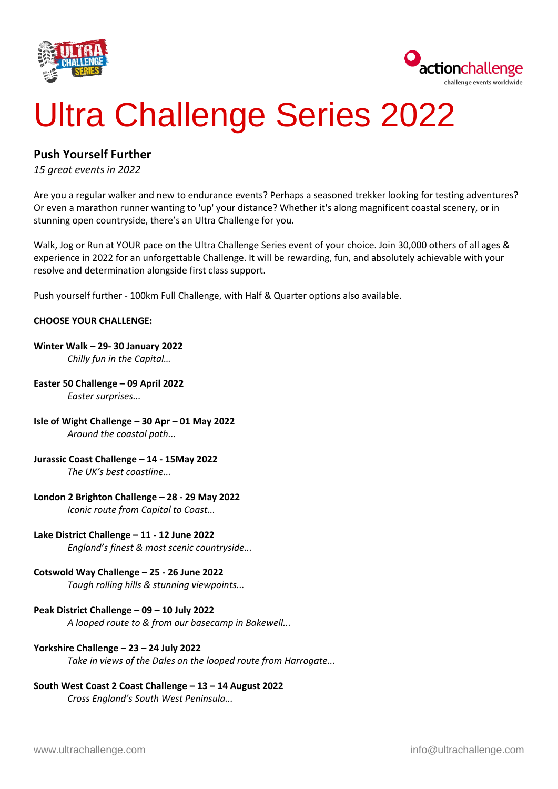



# Ultra Challenge Series 2022

### **Push Yourself Further**

*15 great events in 2022*

Are you a regular walker and new to endurance events? Perhaps a seasoned trekker looking for testing adventures? Or even a marathon runner wanting to 'up' your distance? Whether it's along magnificent coastal scenery, or in stunning open countryside, there's an Ultra Challenge for you.

Walk, Jog or Run at YOUR pace on the Ultra Challenge Series event of your choice. Join 30,000 others of all ages & experience in 2022 for an unforgettable Challenge. It will be rewarding, fun, and absolutely achievable with your resolve and determination alongside first class support.

Push yourself further - 100km Full Challenge, with Half & Quarter options also available.

#### **CHOOSE YOUR CHALLENGE:**

## **Winter Walk – 29- 30 January 2022**

*Chilly fun in the Capital…*

- **Easter 50 Challenge – 09 April 2022** *Easter surprises...*
- **Isle of Wight Challenge – 30 Apr – 01 May 2022** *Around the coastal path...*
- **Jurassic Coast Challenge – 14 - 15May 2022**

*The UK's best coastline...*

#### **London 2 Brighton Challenge – 28 - 29 May 2022**

*Iconic route from Capital to Coast...*

**Lake District Challenge – 11 - 12 June 2022**

*England's finest & most scenic countryside...*

#### **Cotswold Way Challenge – 25 - 26 June 2022**

*Tough rolling hills & stunning viewpoints...*

#### **Peak District Challenge – 09 – 10 July 2022**

*A looped route to & from our basecamp in Bakewell...*

#### **Yorkshire Challenge – 23 – 24 July 2022**

*Take in views of the Dales on the looped route from Harrogate...*

#### **South West Coast 2 Coast Challenge – 13 – 14 August 2022**

*Cross England's South West Peninsula...*